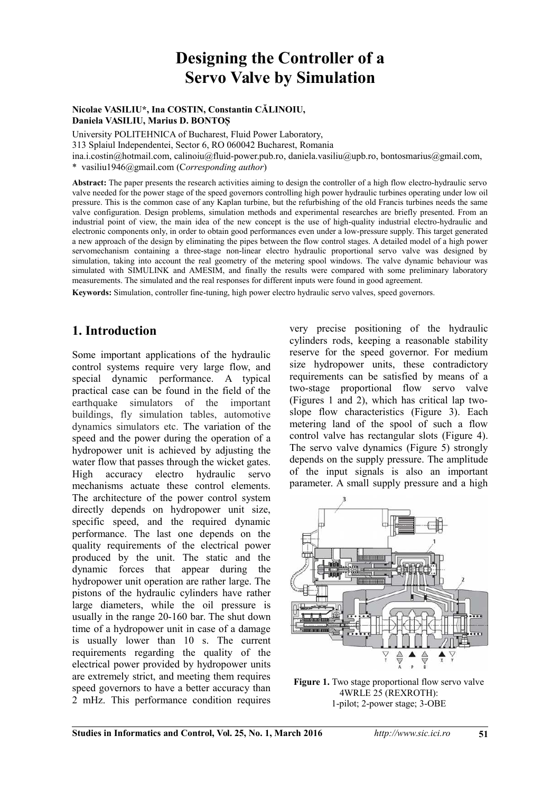# **Designing the Controller of a Servo Valve by Simulation**

#### **Nicolae VASILIU\*, Ina COSTIN, Constantin CĂLINOIU, Daniela VASILIU, Marius D. BONTO**Ș

University POLITEHNICA of Bucharest, Fluid Power Laboratory,

313 Splaiul Independentei, Sector 6, RO 060042 Bucharest, Romania

ina.i.costin@hotmail.com, [calinoiu@fluid-power.pub.ro,](mailto:calinoiu@fluid-power.pub.ro) daniela.vasiliu@upb.ro, bontosmarius@gmail.com,

\* vasiliu1946@gmail.com (C*orresponding author*)

**Abstract:** The paper presents the research activities aiming to design the controller of a high flow electro-hydraulic servo valve needed for the power stage of the speed governors controlling high power hydraulic turbines operating under low oil pressure. This is the common case of any Kaplan turbine, but the refurbishing of the old Francis turbines needs the same valve configuration. Design problems, simulation methods and experimental researches are briefly presented. From an industrial point of view, the main idea of the new concept is the use of high-quality industrial electro-hydraulic and electronic components only, in order to obtain good performances even under a low-pressure supply. This target generated a new approach of the design by eliminating the pipes between the flow control stages. A detailed model of a high power servomechanism containing a three-stage non-linear electro hydraulic proportional servo valve was designed by simulation, taking into account the real geometry of the metering spool windows. The valve dynamic behaviour was simulated with SIMULINK and AMESIM, and finally the results were compared with some preliminary laboratory measurements. The simulated and the real responses for different inputs were found in good agreement.

**Keywords:** Simulation, controller fine-tuning, high power electro hydraulic servo valves, speed governors.

#### **1. Introduction**

Some important applications of the hydraulic control systems require very large flow, and special dynamic performance. A typical practical case can be found in the field of the earthquake simulators of the important buildings, fly simulation tables, automotive dynamics simulators etc. The variation of the speed and the power during the operation of a hydropower unit is achieved by adjusting the water flow that passes through the wicket gates. High accuracy electro hydraulic servo mechanisms actuate these control elements. The architecture of the power control system directly depends on hydropower unit size, specific speed, and the required dynamic performance. The last one depends on the quality requirements of the electrical power produced by the unit. The static and the dynamic forces that appear during the hydropower unit operation are rather large. The pistons of the hydraulic cylinders have rather large diameters, while the oil pressure is usually in the range 20-160 bar. The shut down time of a hydropower unit in case of a damage is usually lower than 10 s. The current requirements regarding the quality of the electrical power provided by hydropower units are extremely strict, and meeting them requires speed governors to have a better accuracy than 2 mHz. This performance condition requires very precise positioning of the hydraulic cylinders rods, keeping a reasonable stability reserve for the speed governor. For medium size hydropower units, these contradictory requirements can be satisfied by means of a two-stage proportional flow servo valve (Figures 1 and 2), which has critical lap twoslope flow characteristics (Figure 3). Each metering land of the spool of such a flow control valve has rectangular slots (Figure 4). The servo valve dynamics (Figure 5) strongly depends on the supply pressure. The amplitude of the input signals is also an important parameter. A small supply pressure and a high



**Figure 1.** Two stage proportional flow servo valve 4WRLE 25 (REXROTH): 1-pilot; 2-power stage; 3-OBE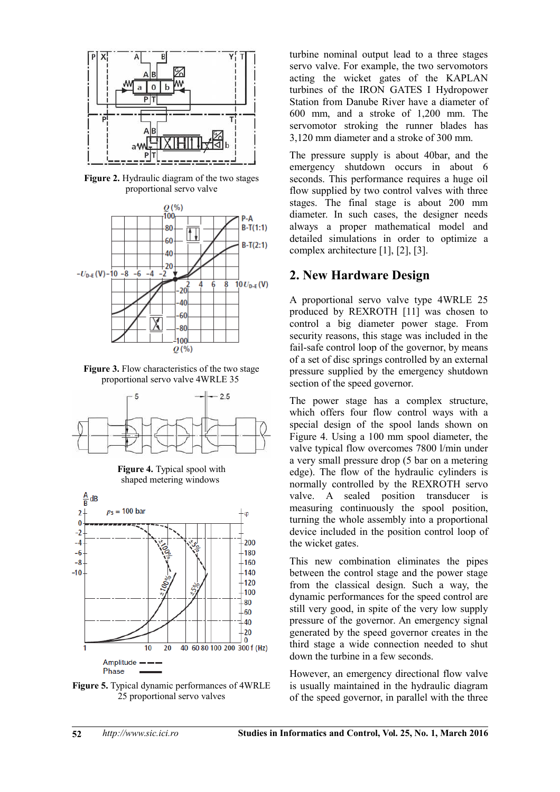

**Figure 2.** Hydraulic diagram of the two stages proportional servo valve



Figure 3. Flow characteristics of the two stage proportional servo valve 4WRLE 35



**Figure 4.** Typical spool with shaped metering windows



**Figure 5.** Typical dynamic performances of 4WRLE 25 proportional servo valves

turbine nominal output lead to a three stages servo valve. For example, the two servomotors acting the wicket gates of the KAPLAN turbines of the IRON GATES I Hydropower Station from Danube River have a diameter of 600 mm, and a stroke of 1,200 mm. The servomotor stroking the runner blades has 3,120 mm diameter and a stroke of 300 mm.

The pressure supply is about 40bar, and the emergency shutdown occurs in about 6 seconds. This performance requires a huge oil flow supplied by two control valves with three stages. The final stage is about 200 mm diameter. In such cases, the designer needs always a proper mathematical model and detailed simulations in order to optimize a complex architecture [1], [2], [3].

#### **2. New Hardware Design**

A proportional servo valve type 4WRLE 25 produced by REXROTH [11] was chosen to control a big diameter power stage. From security reasons, this stage was included in the fail-safe control loop of the governor, by means of a set of disc springs controlled by an external pressure supplied by the emergency shutdown section of the speed governor.

The power stage has a complex structure, which offers four flow control ways with a special design of the spool lands shown on Figure 4. Using a 100 mm spool diameter, the valve typical flow overcomes 7800 l/min under a very small pressure drop (5 bar on a metering edge). The flow of the hydraulic cylinders is normally controlled by the REXROTH servo valve. A sealed position transducer is measuring continuously the spool position, turning the whole assembly into a proportional device included in the position control loop of the wicket gates.

This new combination eliminates the pipes between the control stage and the power stage from the classical design. Such a way, the dynamic performances for the speed control are still very good, in spite of the very low supply pressure of the governor. An emergency signal generated by the speed governor creates in the third stage a wide connection needed to shut down the turbine in a few seconds.

However, an emergency directional flow valve is usually maintained in the hydraulic diagram of the speed governor, in parallel with the three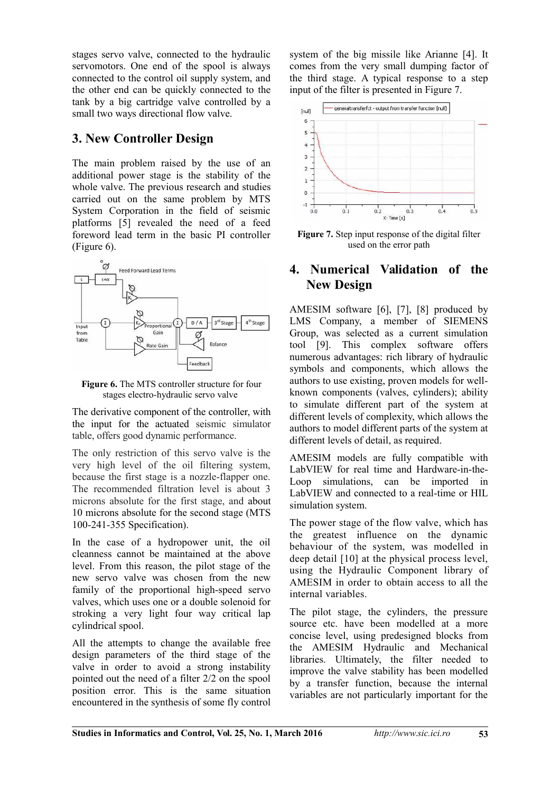stages servo valve, connected to the hydraulic servomotors. One end of the spool is always connected to the control oil supply system, and the other end can be quickly connected to the tank by a big cartridge valve controlled by a small two ways directional flow valve.

### **3. New Controller Design**

The main problem raised by the use of an additional power stage is the stability of the whole valve. The previous research and studies carried out on the same problem by MTS System Corporation in the field of seismic platforms [5] revealed the need of a feed foreword lead term in the basic PI controller (Figure 6).



**Figure 6.** The MTS controller structure for four stages electro-hydraulic servo valve

The derivative component of the controller, with the input for the actuated seismic simulator table, offers good dynamic performance.

The only restriction of this servo valve is the very high level of the oil filtering system, because the first stage is a nozzle-flapper one. The recommended filtration level is about 3 microns absolute for the first stage, and about 10 microns absolute for the second stage (MTS 100-241-355 Specification).

In the case of a hydropower unit, the oil cleanness cannot be maintained at the above level. From this reason, the pilot stage of the new servo valve was chosen from the new family of the proportional high-speed servo valves, which uses one or a double solenoid for stroking a very light four way critical lap cylindrical spool.

All the attempts to change the available free design parameters of the third stage of the valve in order to avoid a strong instability pointed out the need of a filter 2/2 on the spool position error. This is the same situation encountered in the synthesis of some fly control system of the big missile like Arianne [4]. It comes from the very small dumping factor of the third stage. A typical response to a step input of the filter is presented in Figure 7.



**Figure 7.** Step input response of the digital filter used on the error path

#### **4. Numerical Validation of the New Design**

AMESIM software [6], [7], [8] produced by LMS Company, a member of SIEMENS Group, was selected as a current simulation tool [9]. This complex software offers numerous advantages: rich library of hydraulic symbols and components, which allows the authors to use existing, proven models for wellknown components (valves, cylinders); ability to simulate different part of the system at different levels of complexity, which allows the authors to model different parts of the system at different levels of detail, as required.

AMESIM models are fully compatible with LabVIEW for real time and Hardware-in-the-Loop simulations, can be imported in LabVIEW and connected to a real-time or HIL simulation system.

The power stage of the flow valve, which has the greatest influence on the dynamic behaviour of the system, was modelled in deep detail [10] at the physical process level, using the Hydraulic Component library of AMESIM in order to obtain access to all the internal variables.

The pilot stage, the cylinders, the pressure source etc. have been modelled at a more concise level, using predesigned blocks from the AMESIM Hydraulic and Mechanical libraries. Ultimately, the filter needed to improve the valve stability has been modelled by a transfer function, because the internal variables are not particularly important for the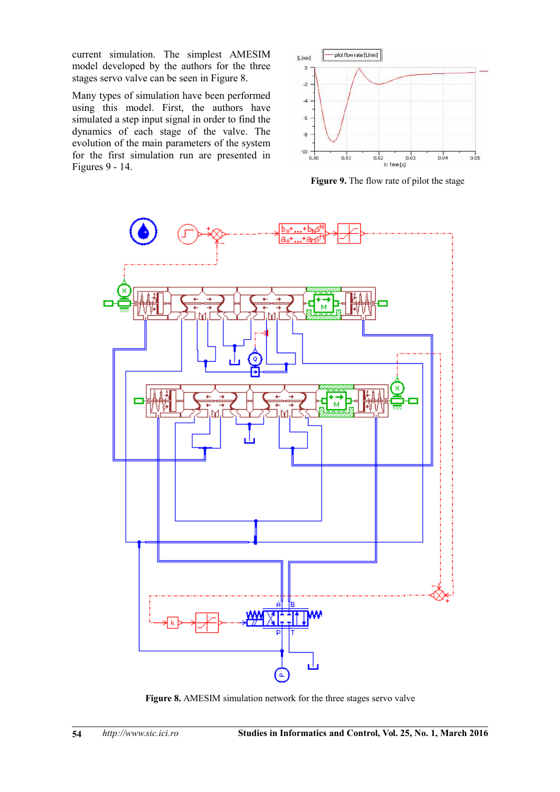current simulation. The simplest AMESIM model developed by the authors for the three stages servo valve can be seen in Figure 8.

Many types of simulation have been performed using this model. First, the authors have simulated a step input signal in order to find the dynamics of each stage of the valve. The evolution of the main parameters of the system for the first simulation run are presented in Figures 9 - 14.



**Figure 9.** The flow rate of pilot the stage



**Figure 8.** AMESIM simulation network for the three stages servo valve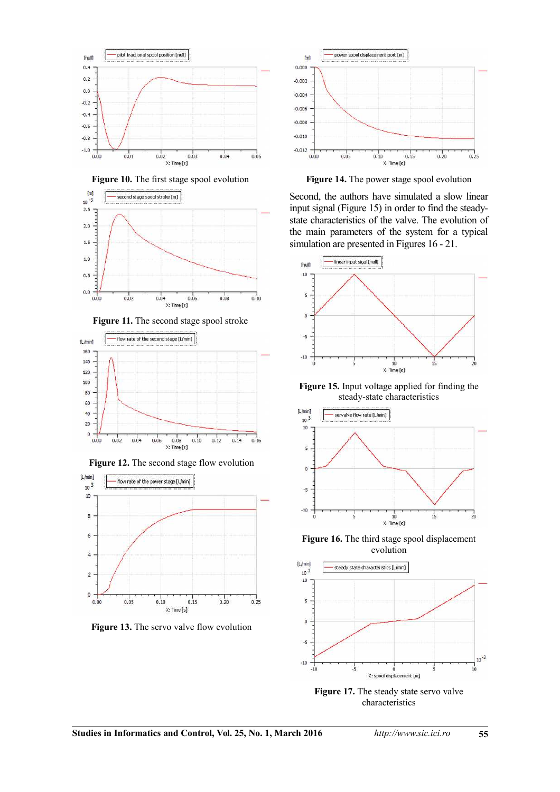

Figure 10. The first stage spool evolution







Figure 12. The second stage flow evolution



Figure 13. The servo valve flow evolution



Figure 14. The power stage spool evolution

Second, the authors have simulated a slow linear input signal (Figure 15) in order to find the steadystate characteristics of the valve. The evolution of the main parameters of the system for a typical simulation are presented in Figures 16 - 21.



**Figure 15.** Input voltage applied for finding the steady-state characteristics



**Figure 16.** The third stage spool displacement evolution



**Figure 17.** The steady state servo valve characteristics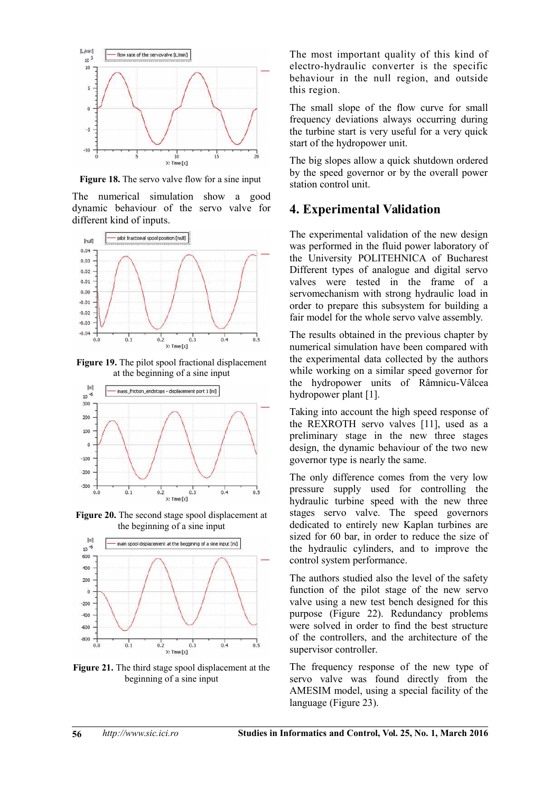

**Figure 18.** The servo valve flow for a sine input

The numerical simulation show a good dynamic behaviour of the servo valve for different kind of inputs.



**Figure 19.** The pilot spool fractional displacement at the beginning of a sine input



**Figure 20.** The second stage spool displacement at the beginning of a sine input



**Figure 21.** The third stage spool displacement at the beginning of a sine input

The most important quality of this kind of electro-hydraulic converter is the specific behaviour in the null region, and outside this region.

The small slope of the flow curve for small frequency deviations always occurring during the turbine start is very useful for a very quick start of the hydropower unit.

The big slopes allow a quick shutdown ordered by the speed governor or by the overall power station control unit.

#### **4. Experimental Validation**

The experimental validation of the new design was performed in the fluid power laboratory of the University POLITEHNICA of Bucharest Different types of analogue and digital servo valves were tested in the frame of a servomechanism with strong hydraulic load in order to prepare this subsystem for building a fair model for the whole servo valve assembly.

The results obtained in the previous chapter by numerical simulation have been compared with the experimental data collected by the authors while working on a similar speed governor for the hydropower units of Râmnicu-Vâlcea hydropower plant [1].

Taking into account the high speed response of the REXROTH servo valves [11], used as a preliminary stage in the new three stages design, the dynamic behaviour of the two new governor type is nearly the same.

The only difference comes from the very low pressure supply used for controlling the hydraulic turbine speed with the new three stages servo valve. The speed governors dedicated to entirely new Kaplan turbines are sized for 60 bar, in order to reduce the size of the hydraulic cylinders, and to improve the control system performance.

The authors studied also the level of the safety function of the pilot stage of the new servo valve using a new test bench designed for this purpose (Figure 22). Redundancy problems were solved in order to find the best structure of the controllers, and the architecture of the supervisor controller.

The frequency response of the new type of servo valve was found directly from the AMESIM model, using a special facility of the language (Figure 23).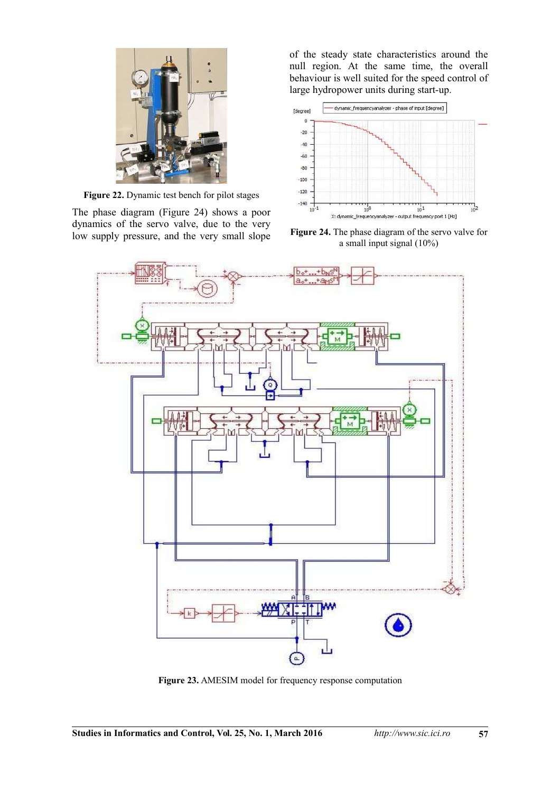

**Figure 22.** Dynamic test bench for pilot stages

The phase diagram (Figure 24) shows a poor dynamics of the servo valve, due to the very low supply pressure, and the very small slope of the steady state characteristics around the null region. At the same time, the overall behaviour is well suited for the speed control of large hydropower units during start-up.



**Figure 24.** The phase diagram of the servo valve for a small input signal (10%)



**Figure 23.** AMESIM model for frequency response computation